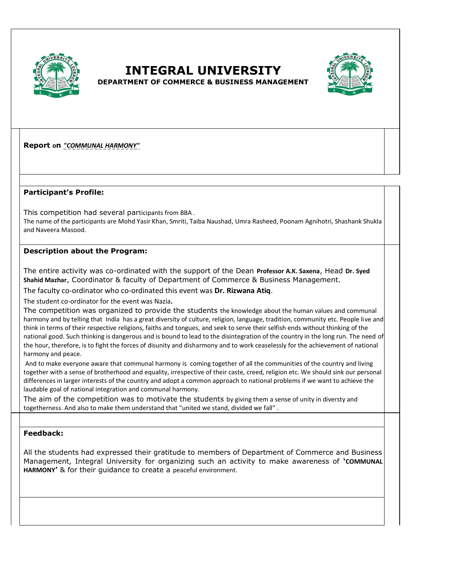

## **INTEGRAL UNIVERSITY**



**DEPARTMENT OF COMMERCE & BUSINESS MANAGEMENT** 

**Report on** *"COMMUNAL HARMONY"*

## **Participant's Profile:**

This competition had several participants from BBA .

The name of the participants are Mohd Yasir Khan, Smriti, Taiba Naushad, Umra Rasheed, Poonam Agnihotri, Shashank Shukla and Naveera Masood.

## **Description about the Program:**

The entire activity was co-ordinated with the support of the Dean **Professor A.K. Saxena**, Head **Dr. Syed Shahid Mazhar**, Coordinator & faculty of Department of Commerce & Business Management.

The faculty co-ordinator who co-ordinated this event was **Dr. Rizwana Atiq**.

The student co-ordinator for the event was Nazia**.**

The competition was organized to provide the students the knowledge about the human values and communal harmony and by telling that India has a great diversity of culture, religion, language, tradition, community etc. People live and think in terms of their respective religions, faiths and tongues, and seek to serve their selfish ends without thinking of the national good. Such thinking is dangerous and is bound to lead to the disintegration of the country in the long run. The need of the hour, therefore, is to fight the forces of disunity and disharmony and to work ceaselessly for the achievement of national harmony and peace.

And to make everyone aware that communal harmony is coming together of all the communities of the country and living together with a sense of brotherhood and equality, irrespective of their caste, creed, religion etc. We should sink our personal differences in larger interests of the country and adopt a common approach to national problems if we want to achieve the laudable goal of national integration and communal harmony.

The aim of the competition was to motivate the students by giving them a sense of unity in diversty and togetherness. And also to make them understand that "united we stand, divided we fall" .

## **Feedback:**

All the students had expressed their gratitude to members of Department of Commerce and Business Management, Integral University for organizing such an activity to make awareness of **'COMMUNAL HARMONY'** & for their guidance to create a peaceful environment.